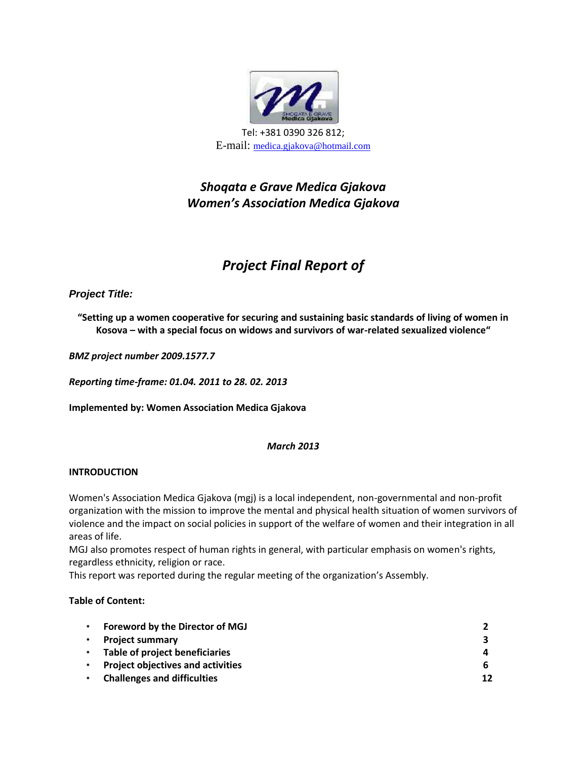

## *Shoqata e Grave Medica Gjakova Women's Association Medica Gjakova*

## *Project Final Report of*

#### *Project Title:*

**"Setting up a women cooperative for securing and sustaining basic standards of living of women in Kosova – with a special focus on widows and survivors of war-related sexualized violence"**

*BMZ project number 2009.1577.7*

*Reporting time-frame: 01.04. 2011 to 28. 02. 2013*

**Implemented by: Women Association Medica Gjakova**

#### *March 2013*

#### **INTRODUCTION**

Women's Association Medica Gjakova (mgj) is a local independent, non-governmental and non-profit organization with the mission to improve the mental and physical health situation of women survivors of violence and the impact on social policies in support of the welfare of women and their integration in all areas of life.

MGJ also promotes respect of human rights in general, with particular emphasis on women's rights, regardless ethnicity, religion or race.

This report was reported during the regular meeting of the organization's Assembly.

#### **Table of Content:**

| Foreword by the Director of MGJ          |    |
|------------------------------------------|----|
| <b>Project summary</b>                   | 3  |
| Table of project beneficiaries           | 4  |
| <b>Project objectives and activities</b> | 6  |
| <b>Challenges and difficulties</b>       | 12 |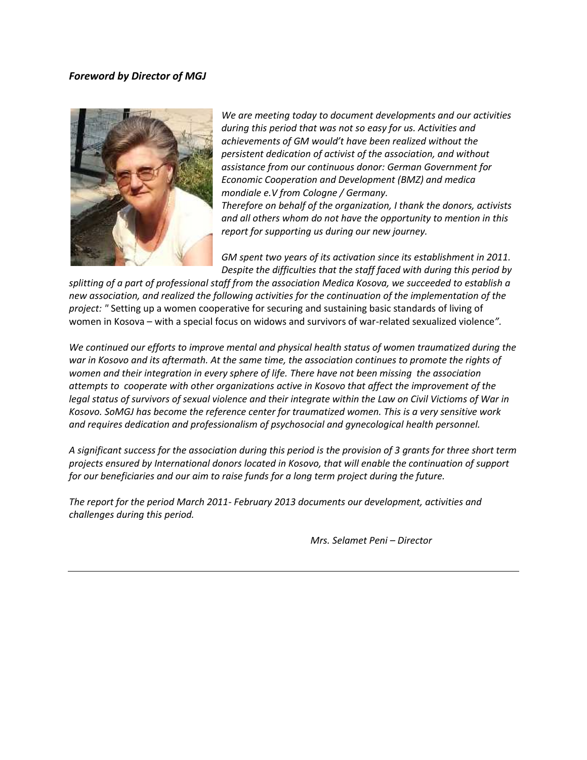#### *Foreword by Director of MGJ*



*We are meeting today to document developments and our activities during this period that was not so easy for us. Activities and achievements of GM would't have been realized without the persistent dedication of activist of the association, and without assistance from our continuous donor: German Government for Economic Cooperation and Development (BMZ) and medica mondiale e.V from Cologne / Germany.*

*Therefore on behalf of the organization, I thank the donors, activists and all others whom do not have the opportunity to mention in this report for supporting us during our new journey.*

*GM spent two years of its activation since its establishment in 2011. Despite the difficulties that the staff faced with during this period by*

*splitting of a part of professional staff from the association Medica Kosova, we succeeded to establish a new association, and realized the following activities for the continuation of the implementation of the project: "* Setting up a women cooperative for securing and sustaining basic standards of living of women in Kosova – with a special focus on widows and survivors of war-related sexualized violence*".*

*We continued our efforts to improve mental and physical health status of women traumatized during the war in Kosovo and its aftermath. At the same time, the association continues to promote the rights of women and their integration in every sphere of life. There have not been missing the association attempts to cooperate with other organizations active in Kosovo that affect the improvement of the legal status of survivors of sexual violence and their integrate within the Law on Civil Victioms of War in Kosovo. SoMGJ has become the reference center for traumatized women. This is a very sensitive work and requires dedication and professionalism of psychosocial and gynecological health personnel.*

*A significant success for the association during this period is the provision of 3 grants for three short term projects ensured by International donors located in Kosovo, that will enable the continuation of support for our beneficiaries and our aim to raise funds for a long term project during the future.*

*The report for the period March 2011- February 2013 documents our development, activities and challenges during this period.*

*Mrs. Selamet Peni – Director*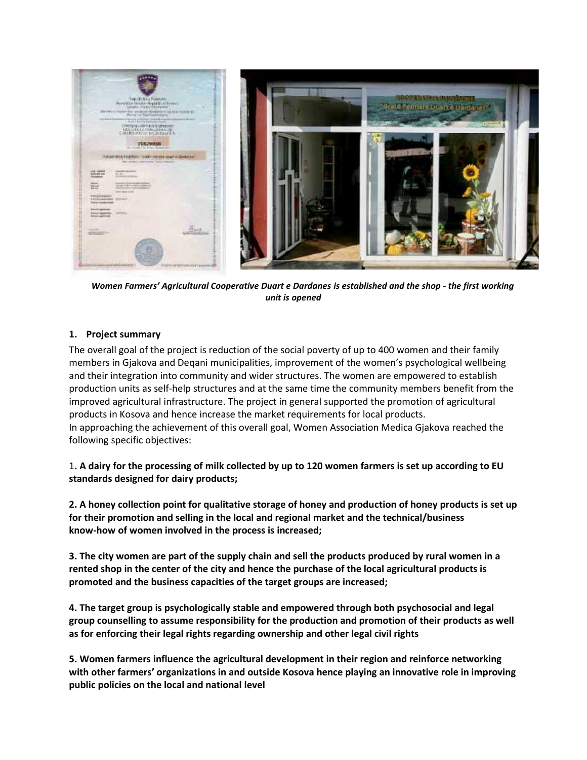

*Women Farmers' Agricultural Cooperative Duart e Dardanes is established and the shop - the first working unit is opened*

#### **1. Project summary**

The overall goal of the project is reduction of the social poverty of up to 400 women and their family members in Gjakova and Deqani municipalities, improvement of the women's psychological wellbeing and their integration into community and wider structures. The women are empowered to establish production units as self-help structures and at the same time the community members benefit from the improved agricultural infrastructure. The project in general supported the promotion of agricultural products in Kosova and hence increase the market requirements for local products. In approaching the achievement of this overall goal, Women Association Medica Gjakova reached the following specific objectives:

1**. A dairy for the processing of milk collected by up to 120 women farmers is set up according to EU standards designed for dairy products;**

**2. A honey collection point for qualitative storage of honey and production of honey products is set up for their promotion and selling in the local and regional market and the technical/business know-how of women involved in the process is increased;**

**3. The city women are part of the supply chain and sell the products produced by rural women in a rented shop in the center of the city and hence the purchase of the local agricultural products is promoted and the business capacities of the target groups are increased;**

**4. The target group is psychologically stable and empowered through both psychosocial and legal group counselling to assume responsibility for the production and promotion of their products as well as for enforcing their legal rights regarding ownership and other legal civil rights**

**5. Women farmers influence the agricultural development in their region and reinforce networking with other farmers' organizations in and outside Kosova hence playing an innovative role in improving public policies on the local and national level**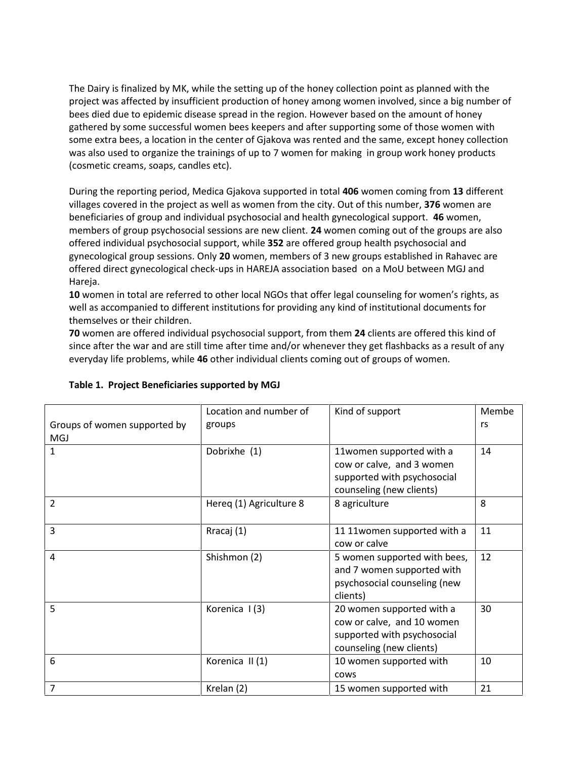The Dairy is finalized by MK, while the setting up of the honey collection point as planned with the project was affected by insufficient production of honey among women involved, since a big number of bees died due to epidemic disease spread in the region. However based on the amount of honey gathered by some successful women bees keepers and after supporting some of those women with some extra bees, a location in the center of Gjakova was rented and the same, except honey collection was also used to organize the trainings of up to 7 women for making in group work honey products (cosmetic creams, soaps, candles etc).

During the reporting period, Medica Gjakova supported in total **406** women coming from **13** different villages covered in the project as well as women from the city. Out of this number, **376** women are beneficiaries of group and individual psychosocial and health gynecological support. **46** women, members of group psychosocial sessions are new client. **24** women coming out of the groups are also offered individual psychosocial support, while **352** are offered group health psychosocial and gynecological group sessions. Only **20** women, members of 3 new groups established in Rahavec are offered direct gynecological check-ups in HAREJA association based on a MoU between MGJ and Hareja.

**10** women in total are referred to other local NGOs that offer legal counseling for women's rights, as well as accompanied to different institutions for providing any kind of institutional documents for themselves or their children.

**70** women are offered individual psychosocial support, from them **24** clients are offered this kind of since after the war and are still time after time and/or whenever they get flashbacks as a result of any everyday life problems, while **46** other individual clients coming out of groups of women.

|                                            | Location and number of  | Kind of support                                                                                                    | Membe |
|--------------------------------------------|-------------------------|--------------------------------------------------------------------------------------------------------------------|-------|
| Groups of women supported by<br><b>MGJ</b> | groups                  |                                                                                                                    | rs    |
| $\mathbf{1}$                               | Dobrixhe (1)            | 11women supported with a<br>cow or calve, and 3 women<br>supported with psychosocial<br>counseling (new clients)   | 14    |
| 2                                          | Hereq (1) Agriculture 8 | 8 agriculture                                                                                                      | 8     |
| 3                                          | Rracaj (1)              | 11 11 women supported with a<br>cow or calve                                                                       | 11    |
| 4                                          | Shishmon (2)            | 5 women supported with bees,<br>and 7 women supported with<br>psychosocial counseling (new<br>clients)             | 12    |
| 5                                          | Korenica I(3)           | 20 women supported with a<br>cow or calve, and 10 women<br>supported with psychosocial<br>counseling (new clients) | 30    |
| 6                                          | Korenica II (1)         | 10 women supported with<br>cows                                                                                    | 10    |
| $\overline{7}$                             | Krelan (2)              | 15 women supported with                                                                                            | 21    |

#### **Table 1. Project Beneficiaries supported by MGJ**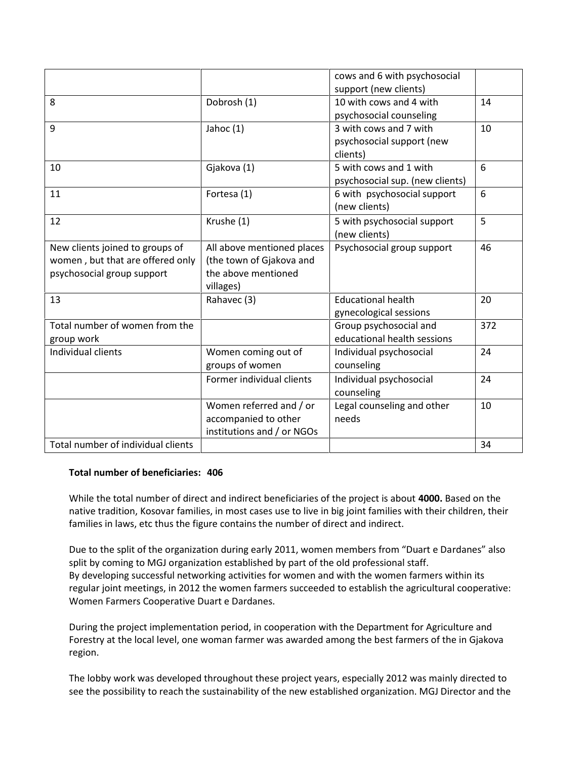|                                    |                            | cows and 6 with psychosocial          |     |
|------------------------------------|----------------------------|---------------------------------------|-----|
|                                    |                            | support (new clients)                 |     |
| 8                                  | Dobrosh (1)                | 10 with cows and 4 with               | 14  |
|                                    |                            | psychosocial counseling               |     |
| 9                                  | Jahoc $(1)$                | 3 with cows and 7 with                | 10  |
|                                    |                            | psychosocial support (new<br>clients) |     |
| 10                                 | Gjakova (1)                | 5 with cows and 1 with                | 6   |
|                                    |                            | psychosocial sup. (new clients)       |     |
| 11                                 | Fortesa (1)                | 6 with psychosocial support           | 6   |
|                                    |                            | (new clients)                         |     |
| 12                                 | Krushe (1)                 | 5 with psychosocial support           | 5   |
|                                    |                            | (new clients)                         |     |
| New clients joined to groups of    | All above mentioned places | Psychosocial group support            | 46  |
| women, but that are offered only   | (the town of Gjakova and   |                                       |     |
| psychosocial group support         | the above mentioned        |                                       |     |
|                                    | villages)                  |                                       |     |
| 13                                 | Rahavec (3)                | <b>Educational health</b>             | 20  |
|                                    |                            | gynecological sessions                |     |
| Total number of women from the     |                            | Group psychosocial and                | 372 |
| group work                         |                            | educational health sessions           |     |
| Individual clients                 | Women coming out of        | Individual psychosocial               | 24  |
|                                    | groups of women            | counseling                            |     |
|                                    | Former individual clients  | Individual psychosocial               | 24  |
|                                    |                            | counseling                            |     |
|                                    | Women referred and / or    | Legal counseling and other            | 10  |
|                                    | accompanied to other       | needs                                 |     |
|                                    | institutions and / or NGOs |                                       |     |
| Total number of individual clients |                            |                                       | 34  |
|                                    |                            |                                       |     |

#### **Total number of beneficiaries: 406**

While the total number of direct and indirect beneficiaries of the project is about **4000.** Based on the native tradition, Kosovar families, in most cases use to live in big joint families with their children, their families in laws, etc thus the figure contains the number of direct and indirect.

Due to the split of the organization during early 2011, women members from "Duart e Dardanes" also split by coming to MGJ organization established by part of the old professional staff. By developing successful networking activities for women and with the women farmers within its regular joint meetings, in 2012 the women farmers succeeded to establish the agricultural cooperative: Women Farmers Cooperative Duart e Dardanes.

During the project implementation period, in cooperation with the Department for Agriculture and Forestry at the local level, one woman farmer was awarded among the best farmers of the in Gjakova region.

The lobby work was developed throughout these project years, especially 2012 was mainly directed to see the possibility to reach the sustainability of the new established organization. MGJ Director and the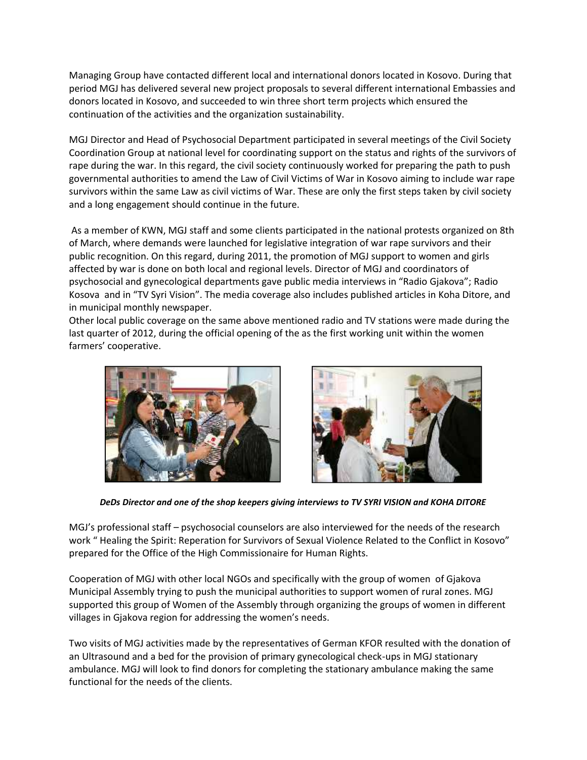Managing Group have contacted different local and international donors located in Kosovo. During that period MGJ has delivered several new project proposals to several different international Embassies and donors located in Kosovo, and succeeded to win three short term projects which ensured the continuation of the activities and the organization sustainability.

MGJ Director and Head of Psychosocial Department participated in several meetings of the Civil Society Coordination Group at national level for coordinating support on the status and rights of the survivors of rape during the war. In this regard, the civil society continuously worked for preparing the path to push governmental authorities to amend the Law of Civil Victims of War in Kosovo aiming to include war rape survivors within the same Law as civil victims of War. These are only the first steps taken by civil society and a long engagement should continue in the future.

As a member of KWN, MGJ staff and some clients participated in the national protests organized on 8th of March, where demands were launched for legislative integration of war rape survivors and their public recognition. On this regard, during 2011, the promotion of MGJ support to women and girls affected by war is done on both local and regional levels. Director of MGJ and coordinators of psychosocial and gynecological departments gave public media interviews in "Radio Gjakova"; Radio Kosova and in "TV Syri Vision". The media coverage also includes published articles in Koha Ditore, and in municipal monthly newspaper.

Other local public coverage on the same above mentioned radio and TV stations were made during the last quarter of 2012, during the official opening of the as the first working unit within the women farmers' cooperative.





*DeDs Director and one of the shop keepers giving interviews to TV SYRI VISION and KOHA DITORE*

MGJ's professional staff – psychosocial counselors are also interviewed for the needs of the research work " Healing the Spirit: Reperation for Survivors of Sexual Violence Related to the Conflict in Kosovo" prepared for the Office of the High Commissionaire for Human Rights.

Cooperation of MGJ with other local NGOs and specifically with the group of women of Gjakova Municipal Assembly trying to push the municipal authorities to support women of rural zones. MGJ supported this group of Women of the Assembly through organizing the groups of women in different villages in Gjakova region for addressing the women's needs.

Two visits of MGJ activities made by the representatives of German KFOR resulted with the donation of an Ultrasound and a bed for the provision of primary gynecological check-ups in MGJ stationary ambulance. MGJ will look to find donors for completing the stationary ambulance making the same functional for the needs of the clients.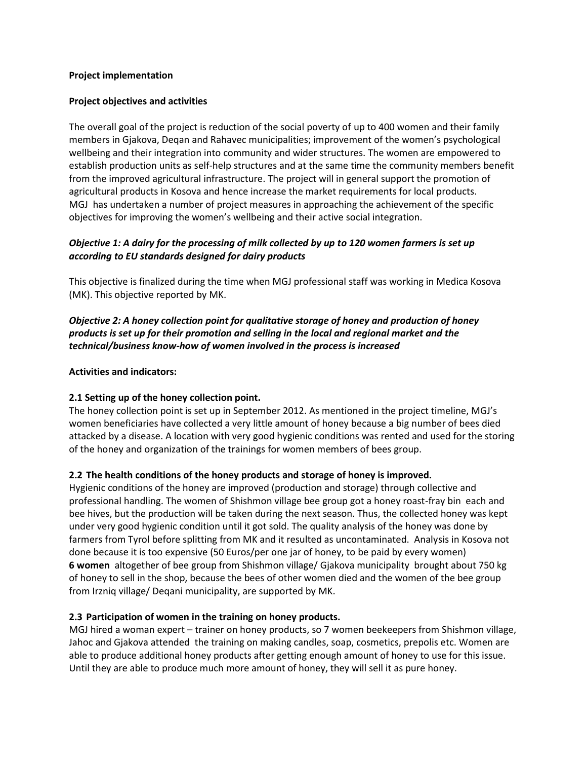#### **Project implementation**

#### **Project objectives and activities**

The overall goal of the project is reduction of the social poverty of up to 400 women and their family members in Gjakova, Deqan and Rahavec municipalities; improvement of the women's psychological wellbeing and their integration into community and wider structures. The women are empowered to establish production units as self-help structures and at the same time the community members benefit from the improved agricultural infrastructure. The project will in general support the promotion of agricultural products in Kosova and hence increase the market requirements for local products. MGJ has undertaken a number of project measures in approaching the achievement of the specific objectives for improving the women's wellbeing and their active social integration.

#### *Objective 1: A dairy for the processing of milk collected by up to 120 women farmers is set up according to EU standards designed for dairy products*

This objective is finalized during the time when MGJ professional staff was working in Medica Kosova (MK). This objective reported by MK.

#### *Objective 2: A honey collection point for qualitative storage of honey and production of honey products is set up for their promotion and selling in the local and regional market and the technical/business know-how of women involved in the process is increased*

#### **Activities and indicators:**

#### **2.1 Setting up of the honey collection point.**

The honey collection point is set up in September 2012. As mentioned in the project timeline, MGJ's women beneficiaries have collected a very little amount of honey because a big number of bees died attacked by a disease. A location with very good hygienic conditions was rented and used for the storing of the honey and organization of the trainings for women members of bees group.

#### **2.2 The health conditions of the honey products and storage of honey is improved.**

Hygienic conditions of the honey are improved (production and storage) through collective and professional handling. The women of Shishmon village bee group got a honey roast-fray bin each and bee hives, but the production will be taken during the next season. Thus, the collected honey was kept under very good hygienic condition until it got sold. The quality analysis of the honey was done by farmers from Tyrol before splitting from MK and it resulted as uncontaminated. Analysis in Kosova not done because it is too expensive (50 Euros/per one jar of honey, to be paid by every women) **6 women** altogether of bee group from Shishmon village/ Gjakova municipality brought about 750 kg of honey to sell in the shop, because the bees of other women died and the women of the bee group from Irzniq village/ Deqani municipality, are supported by MK.

#### **2.3 Participation of women in the training on honey products.**

MGJ hired a woman expert – trainer on honey products, so 7 women beekeepers from Shishmon village, Jahoc and Gjakova attended the training on making candles, soap, cosmetics, prepolis etc. Women are able to produce additional honey products after getting enough amount of honey to use for this issue. Until they are able to produce much more amount of honey, they will sell it as pure honey.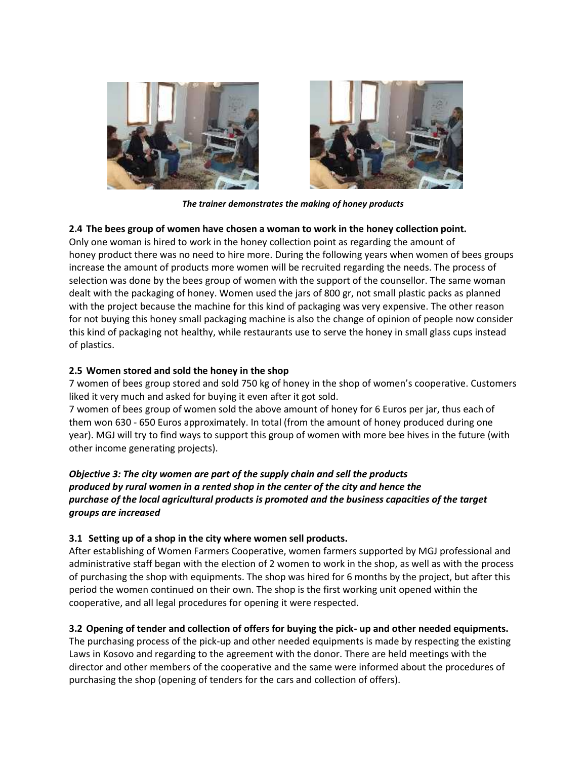



*The trainer demonstrates the making of honey products*

#### **2.4 The bees group of women have chosen a woman to work in the honey collection point.**

Only one woman is hired to work in the honey collection point as regarding the amount of honey product there was no need to hire more. During the following years when women of bees groups increase the amount of products more women will be recruited regarding the needs. The process of selection was done by the bees group of women with the support of the counsellor. The same woman dealt with the packaging of honey. Women used the jars of 800 gr, not small plastic packs as planned with the project because the machine for this kind of packaging was very expensive. The other reason for not buying this honey small packaging machine is also the change of opinion of people now consider this kind of packaging not healthy, while restaurants use to serve the honey in small glass cups instead of plastics.

#### **2.5 Women stored and sold the honey in the shop**

7 women of bees group stored and sold 750 kg of honey in the shop of women's cooperative. Customers liked it very much and asked for buying it even after it got sold.

7 women of bees group of women sold the above amount of honey for 6 Euros per jar, thus each of them won 630 - 650 Euros approximately. In total (from the amount of honey produced during one year). MGJ will try to find ways to support this group of women with more bee hives in the future (with other income generating projects).

#### *Objective 3: The city women are part of the supply chain and sell the products produced by rural women in a rented shop in the center of the city and hence the purchase of the local agricultural products is promoted and the business capacities of the target groups are increased*

#### **3.1 Setting up of a shop in the city where women sell products.**

After establishing of Women Farmers Cooperative, women farmers supported by MGJ professional and administrative staff began with the election of 2 women to work in the shop, as well as with the process of purchasing the shop with equipments. The shop was hired for 6 months by the project, but after this period the women continued on their own. The shop is the first working unit opened within the cooperative, and all legal procedures for opening it were respected.

#### **3.2 Opening of tender and collection of offers for buying the pick- up and other needed equipments.**

The purchasing process of the pick-up and other needed equipments is made by respecting the existing Laws in Kosovo and regarding to the agreement with the donor. There are held meetings with the director and other members of the cooperative and the same were informed about the procedures of purchasing the shop (opening of tenders for the cars and collection of offers).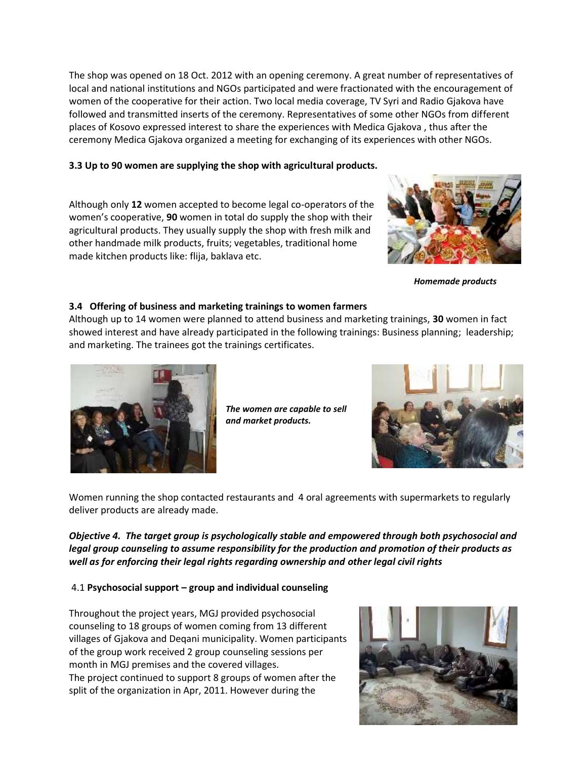The shop was opened on 18 Oct. 2012 with an opening ceremony. A great number of representatives of local and national institutions and NGOs participated and were fractionated with the encouragement of women of the cooperative for their action. Two local media coverage, TV Syri and Radio Gjakova have followed and transmitted inserts of the ceremony. Representatives of some other NGOs from different places of Kosovo expressed interest to share the experiences with Medica Gjakova , thus after the ceremony Medica Gjakova organized a meeting for exchanging of its experiences with other NGOs.

#### **3.3 Up to 90 women are supplying the shop with agricultural products.**

Although only **12** women accepted to become legal co-operators of the women's cooperative, **90** women in total do supply the shop with their agricultural products. They usually supply the shop with fresh milk and other handmade milk products, fruits; vegetables, traditional home made kitchen products like: flija, baklava etc.



*Homemade products*

#### **3.4 Offering of business and marketing trainings to women farmers**

Although up to 14 women were planned to attend business and marketing trainings, **30** women in fact showed interest and have already participated in the following trainings: Business planning; leadership; and marketing. The trainees got the trainings certificates.



*The women are capable to sell and market products.*



Women running the shop contacted restaurants and 4 oral agreements with supermarkets to regularly deliver products are already made.

*Objective 4. The target group is psychologically stable and empowered through both psychosocial and legal group counseling to assume responsibility for the production and promotion of their products as well as for enforcing their legal rights regarding ownership and other legal civil rights*

#### 4.1 **Psychosocial support – group and individual counseling**

Throughout the project years, MGJ provided psychosocial counseling to 18 groups of women coming from 13 different villages of Gjakova and Deqani municipality. Women participants of the group work received 2 group counseling sessions per month in MGJ premises and the covered villages. The project continued to support 8 groups of women after the split of the organization in Apr, 2011. However during the

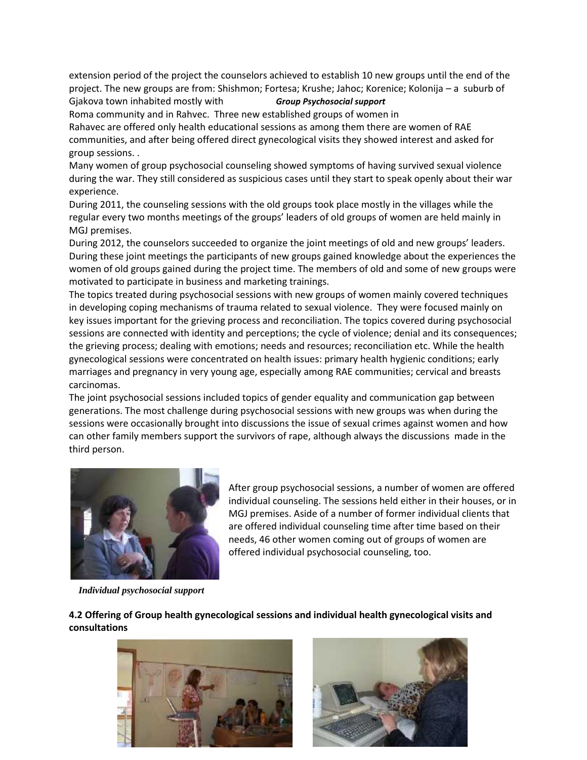extension period of the project the counselors achieved to establish 10 new groups until the end of the project. The new groups are from: Shishmon; Fortesa; Krushe; Jahoc; Korenice; Kolonija – a suburb of

Gjakova town inhabited mostly with *Group Psychosocial support*

Roma community and in Rahvec. Three new established groups of women in Rahavec are offered only health educational sessions as among them there are women of RAE communities, and after being offered direct gynecological visits they showed interest and asked for group sessions. .

Many women of group psychosocial counseling showed symptoms of having survived sexual violence during the war. They still considered as suspicious cases until they start to speak openly about their war experience.

During 2011, the counseling sessions with the old groups took place mostly in the villages while the regular every two months meetings of the groups' leaders of old groups of women are held mainly in MGJ premises.

During 2012, the counselors succeeded to organize the joint meetings of old and new groups' leaders. During these joint meetings the participants of new groups gained knowledge about the experiences the women of old groups gained during the project time. The members of old and some of new groups were motivated to participate in business and marketing trainings.

The topics treated during psychosocial sessions with new groups of women mainly covered techniques in developing coping mechanisms of trauma related to sexual violence. They were focused mainly on key issues important for the grieving process and reconciliation. The topics covered during psychosocial sessions are connected with identity and perceptions; the cycle of violence; denial and its consequences; the grieving process; dealing with emotions; needs and resources; reconciliation etc. While the health gynecological sessions were concentrated on health issues: primary health hygienic conditions; early marriages and pregnancy in very young age, especially among RAE communities; cervical and breasts carcinomas.

The joint psychosocial sessions included topics of gender equality and communication gap between generations. The most challenge during psychosocial sessions with new groups was when during the sessions were occasionally brought into discussions the issue of sexual crimes against women and how can other family members support the survivors of rape, although always the discussions made in the third person.



After group psychosocial sessions, a number of women are offered individual counseling. The sessions held either in their houses, or in MGJ premises. Aside of a number of former individual clients that are offered individual counseling time after time based on their needs, 46 other women coming out of groups of women are offered individual psychosocial counseling, too.

*Individual psychosocial support*

**4.2 Offering of Group health gynecological sessions and individual health gynecological visits and consultations**



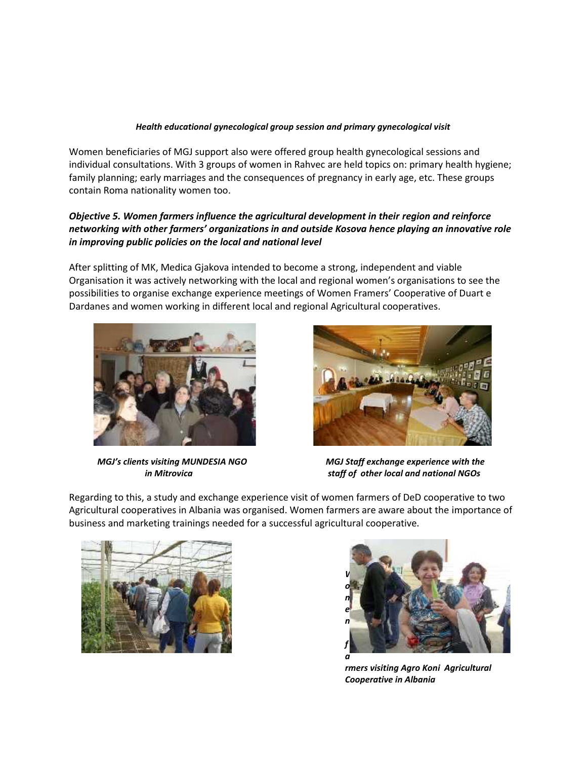#### *Health educational gynecological group session and primary gynecological visit*

Women beneficiaries of MGJ support also were offered group health gynecological sessions and individual consultations. With 3 groups of women in Rahvec are held topics on: primary health hygiene; family planning; early marriages and the consequences of pregnancy in early age, etc. These groups contain Roma nationality women too.

#### *Objective 5. Women farmers influence the agricultural development in their region and reinforce networking with other farmers' organizations in and outside Kosova hence playing an innovative role in improving public policies on the local and national level*

After splitting of MK, Medica Gjakova intended to become a strong, independent and viable Organisation it was actively networking with the local and regional women's organisations to see the possibilities to organise exchange experience meetings of Women Framers' Cooperative of Duart e Dardanes and women working in different local and regional Agricultural cooperatives.





*MGJ's clients visiting MUNDESIA NGO MGJ Staff exchange experience with the in Mitrovica staff of other local and national NGOs*

Regarding to this, a study and exchange experience visit of women farmers of DeD cooperative to two Agricultural cooperatives in Albania was organised. Women farmers are aware about the importance of business and marketing trainings needed for a successful agricultural cooperative.





*rmers visiting Agro Koni Agricultural Cooperative in Albania*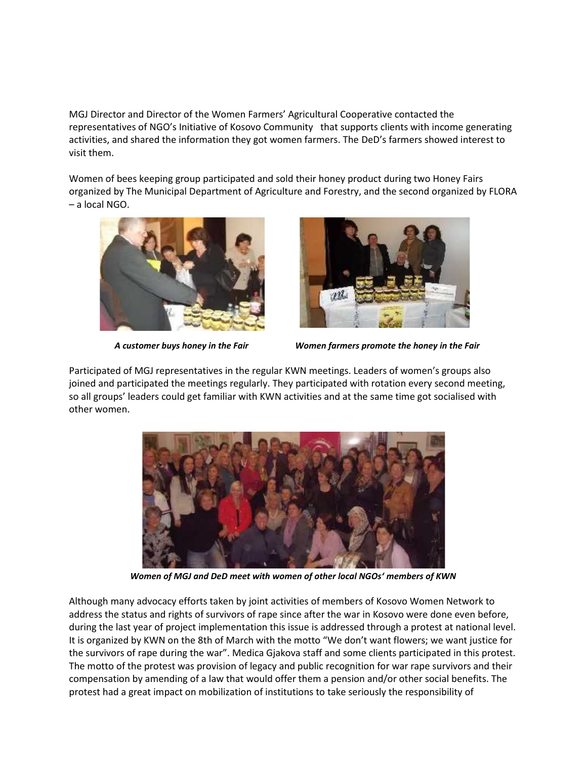MGJ Director and Director of the Women Farmers' Agricultural Cooperative contacted the representatives of NGO's Initiative of Kosovo Community that supports clients with income generating activities, and shared the information they got women farmers. The DeD's farmers showed interest to visit them.

Women of bees keeping group participated and sold their honey product during two Honey Fairs organized by The Municipal Department of Agriculture and Forestry, and the second organized by FLORA – a local NGO.





*A customer buys honey in the Fair Women farmers promote the honey in the Fair*

Participated of MGJ representatives in the regular KWN meetings. Leaders of women's groups also joined and participated the meetings regularly. They participated with rotation every second meeting, so all groups' leaders could get familiar with KWN activities and at the same time got socialised with other women.



*Women of MGJ and DeD meet with women of other local NGOs' members of KWN*

Although many advocacy efforts taken by joint activities of members of Kosovo Women Network to address the status and rights of survivors of rape since after the war in Kosovo were done even before, during the last year of project implementation this issue is addressed through a protest at national level. It is organized by KWN on the 8th of March with the motto "We don't want flowers; we want justice for the survivors of rape during the war". Medica Gjakova staff and some clients participated in this protest. The motto of the protest was provision of legacy and public recognition for war rape survivors and their compensation by amending of a law that would offer them a pension and/or other social benefits. The protest had a great impact on mobilization of institutions to take seriously the responsibility of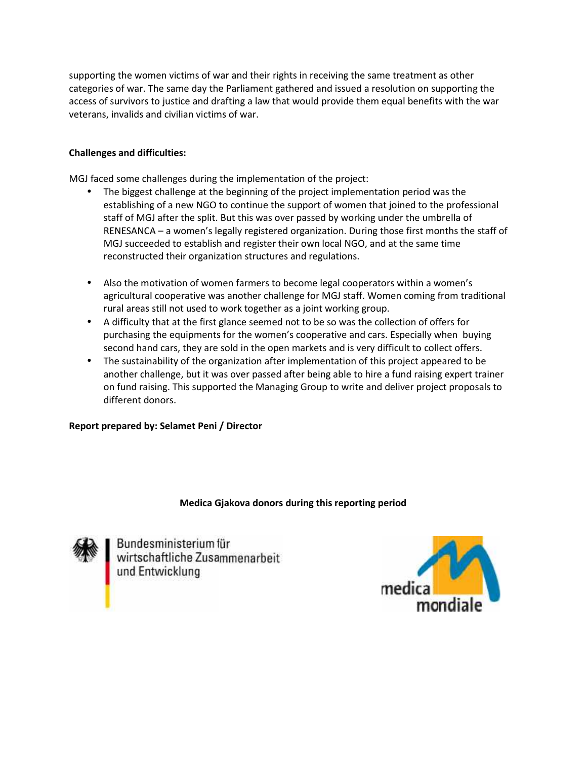supporting the women victims of war and their rights in receiving the same treatment as other categories of war. The same day the Parliament gathered and issued a resolution on supporting the access of survivors to justice and drafting a law that would provide them equal benefits with the war veterans, invalids and civilian victims of war. the women victims of war and their rights in receiving the same treatment as other<br>of war. The same day the Parliament gathered and issued a resolution on supporting the<br>irvivors to justice and drafting a law that would pr

#### **Challenges and difficulties:**

MGJ faced some challenges during the implementation of the project:

- The biggest challenge at the beginning of the project implementation period was the establishing of a new NGO to continue the support of women that joined to the professional staff of MGJ after the split. But this was over passed by working under the umbrella of RENESANCA – a women's legally registered organization. During those first months the staff of MGJ succeeded to establish and register their own local NGO, and at the same time reconstructed their organization structures and regulations. olishing of a new NGO to continue the support of women that joined to the professional<br>of MGJ after the split. But this was over passed by working under the umbrella of<br>SANCA – a women's legally registered organization. Du
- Also the motivation of women farmers to become legal cooperators within a women's agricultural cooperative was another challenge for MGJ staff. Women coming from traditional rural areas still not used to work together as a joint working group.
- A difficulty that at the first glance seemed not to be so was the collection of offers for purchasing the equipments for the women's cooperative and cars. Especially when buying second hand cars, they are sold in the open markets and is very difficult to collect offers.
- The sustainability of the organization after implementation of this project appeared to be another challenge, but it was over passed after being able to hire a fund raising expert trainer<br>on fund raising. This supported the Managing Group to write and deliver project proposals to on fund raising. This supported the Managing Group to write and deliver project proposals to different donors.

#### **Report prepared by: Selamet Peni / Director**

# **Medica Gjakova donors during this reporting period** Selamet Peni / Director<br>Redica Gjakova donors during this reporting period<br>Medica Gjakova donors during this reporting period



Bundesministerium für<br>wirtschaftliche Zusammenarbeit<br>und Entwicklung